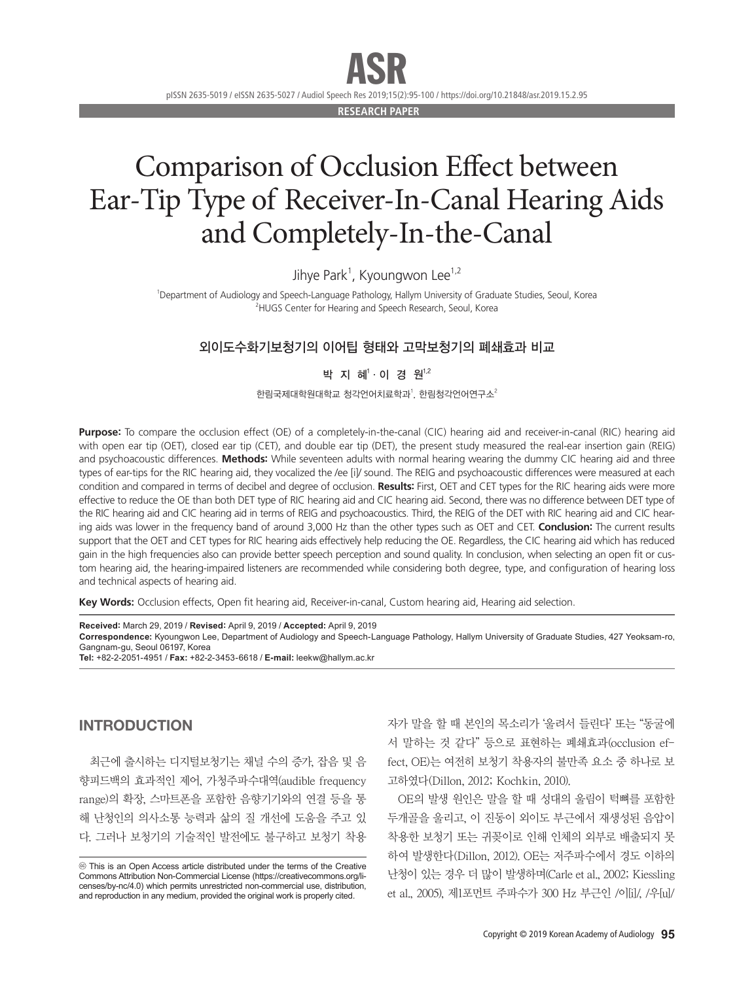ASR

pISSN 2635-5019 / eISSN 2635-5027 / Audiol Speech Res 2019;15(2):95-100 / https://doi.org/10.21848/asr.2019.15.2.95

**RESEARCH PAPER**

# Comparison of Occlusion Effect between Ear-Tip Type of Receiver-In-Canal Hearing Aids and Completely-In-the-Canal

Jihye Park<sup>1</sup>, Kyoungwon Lee<sup>1,2</sup>

1 Department of Audiology and Speech-Language Pathology, Hallym University of Graduate Studies, Seoul, Korea <sup>2</sup>HUGS Center for Hearing and Speech Research, Seoul, Korea

## 외이도수화기보청기의 이어팁 형태와 고막보청기의 폐쇄효과 비교

## 박 지 혜'·이 경 원<sup>1,2</sup>

한림국제대학원대학교 청각언어치료학과, 한림청각언어연구소 $^2$ 

**Purpose:** To compare the occlusion effect (OE) of a completely-in-the-canal (CIC) hearing aid and receiver-in-canal (RIC) hearing aid with open ear tip (OET), closed ear tip (CET), and double ear tip (DET), the present study measured the real-ear insertion gain (REIG) and psychoacoustic differences. **Methods:** While seventeen adults with normal hearing wearing the dummy CIC hearing aid and three types of ear-tips for the RIC hearing aid, they vocalized the /ee [i]/ sound. The REIG and psychoacoustic differences were measured at each condition and compared in terms of decibel and degree of occlusion. **Results:** First, OET and CET types for the RIC hearing aids were more effective to reduce the OE than both DET type of RIC hearing aid and CIC hearing aid. Second, there was no difference between DET type of the RIC hearing aid and CIC hearing aid in terms of REIG and psychoacoustics. Third, the REIG of the DET with RIC hearing aid and CIC hearing aids was lower in the frequency band of around 3,000 Hz than the other types such as OET and CET. **Conclusion:** The current results support that the OET and CET types for RIC hearing aids effectively help reducing the OE. Regardless, the CIC hearing aid which has reduced gain in the high frequencies also can provide better speech perception and sound quality. In conclusion, when selecting an open fit or custom hearing aid, the hearing-impaired listeners are recommended while considering both degree, type, and configuration of hearing loss and technical aspects of hearing aid.

**Key Words:** Occlusion effects, Open fit hearing aid, Receiver-in-canal, Custom hearing aid, Hearing aid selection.

**Received:** March 29, 2019 / **Revised:** April 9, 2019 / **Accepted:** April 9, 2019 **Correspondence:** Kyoungwon Lee, Department of Audiology and Speech-Language Pathology, Hallym University of Graduate Studies, 427 Yeoksam-ro, Gangnam-gu, Seoul 06197, Korea **Tel:** +82-2-2051-4951 / **Fax:** +82-2-3453-6618 / **E-mail:** leekw@hallym.ac.kr

# INTRODUCTION

최근에 출시하는 디지털보청기는 채널 수의 증가, 잡음 및 음 향피드백의 효과적인 제어, 가청주파수대역(audible frequency range)의 확장, 스마트폰을 포함한 음향기기와의 연결 등을 통 해 난청인의 의사소통 능력과 삶의 질 개선에 도움을 주고 있 다. 그러나 보청기의 기술적인 발전에도 불구하고 보청기 착용

자가 말을 할 때 본인의 목소리가 '울려서 들린다' 또는 "동굴에 서 말하는 것 같다" 등으로 표현하는 폐쇄효과(occlusion effect, OE)는 여전히 보청기 착용자의 불만족 요소 중 하나로 보 고하였다(Dillon, 2012; Kochkin, 2010).

OE의 발생 원인은 말을 할 때 성대의 울림이 턱뼈를 포함한 두개골을 울리고, 이 진동이 외이도 부근에서 재생성된 음압이 착용한 보청기 또는 귀꽂이로 인해 인체의 외부로 배출되지 못 하여 발생한다(Dillon, 2012). OE는 저주파수에서 경도 이하의 난청이 있는 경우 더 많이 발생하며(Carle et al., 2002; Kiessling et al., 2005), 제1포먼트 주파수가 300 Hz 부근인 /이[i]/, /우[u]/

 $\circledcirc$  This is an Open Access article distributed under the terms of the Creative Commons Attribution Non-Commercial License (https://creativecommons.org/licenses/by-nc/4.0) which permits unrestricted non-commercial use, distribution, and reproduction in any medium, provided the original work is properly cited.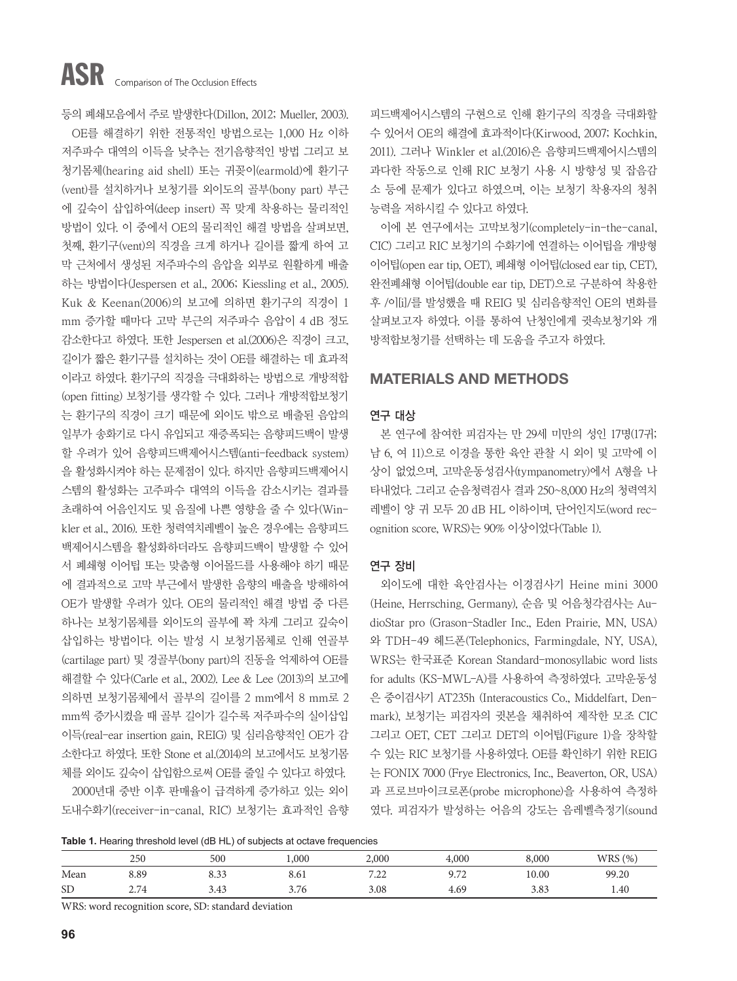등의 폐쇄모음에서 주로 발생한다(Dillon, 2012; Mueller, 2003). OE를 해결하기 위한 전통적인 방법으로는 1,000 Hz 이하 저주파수 대역의 이득을 낮추는 전기음향적인 방법 그리고 보 청기몸체(hearing aid shell) 또는 귀꽂이(earmold)에 환기구 (vent)를 설치하거나 보청기를 외이도의 골부(bony part) 부근 에 깊숙이 삽입하여(deep insert) 꼭 맞게 착용하는 물리적인 방법이 있다. 이 중에서 OE의 물리적인 해결 방법을 살펴보면, 첫째, 환기구(vent)의 직경을 크게 하거나 길이를 짧게 하여 고 막 근처에서 생성된 저주파수의 음압을 외부로 원활하게 배출 하는 방법이다(Jespersen et al., 2006; Kiessling et al., 2005). Kuk & Keenan(2006)의 보고에 의하면 환기구의 직경이 1 mm 증가할 때마다 고막 부근의 저주파수 음압이 4 dB 정도 감소한다고 하였다. 또한 Jespersen et al.(2006)은 직경이 크고, 길이가 짧은 환기구를 설치하는 것이 OE를 해결하는 데 효과적 이라고 하였다. 환기구의 직경을 극대화하는 방법으로 개방적합 (open fitting) 보청기를 생각할 수 있다. 그러나 개방적합보청기 는 환기구의 직경이 크기 때문에 외이도 밖으로 배출된 음압의 일부가 송화기로 다시 유입되고 재증폭되는 음향피드백이 발생 할 우려가 있어 음향피드백제어시스템(anti-feedback system) 을 활성화시켜야 하는 문제점이 있다. 하지만 음향피드백제어시 스템의 활성화는 고주파수 대역의 이득을 감소시키는 결과를 초래하여 어음인지도 및 음질에 나쁜 영향을 줄 수 있다(Winkler et al., 2016). 또한 청력역치레벨이 높은 경우에는 음향피드 백제어시스템을 활성화하더라도 음향피드백이 발생할 수 있어 서 폐쇄형 이어팁 또는 맞춤형 이어몰드를 사용해야 하기 때문 에 결과적으로 고막 부근에서 발생한 음향의 배출을 방해하여 OE가 발생할 우려가 있다. OE의 물리적인 해결 방법 중 다른 하나는 보청기몸체를 외이도의 골부에 꽉 차게 그리고 깊숙이 삽입하는 방법이다. 이는 발성 시 보청기몸체로 인해 연골부 (cartilage part) 및 경골부(bony part)의 진동을 억제하여 OE를 해결할 수 있다(Carle et al., 2002). Lee & Lee (2013)의 보고에 의하면 보청기몸체에서 골부의 길이를 2 mm에서 8 mm로 2 mm씩 증가시켰을 때 골부 길이가 길수록 저주파수의 실이삽입 이득(real-ear insertion gain, REIG) 및 심리음향적인 OE가 감 소한다고 하였다. 또한 Stone et al.(2014)의 보고에서도 보청기몸 체를 외이도 깊숙이 삽입함으로써 OE를 줄일 수 있다고 하였다. 2000년대 중반 이후 판매율이 급격하게 증가하고 있는 외이

도내수화기(receiver-in-canal, RIC) 보청기는 효과적인 음향

피드백제어시스템의 구현으로 인해 환기구의 직경을 극대화할 수 있어서 OE의 해결에 효과적이다(Kirwood, 2007; Kochkin, 2011). 그러나 Winkler et al.(2016)은 음향피드백제어시스템의 과다한 작동으로 인해 RIC 보청기 사용 시 방향성 및 잡음감 소 등에 문제가 있다고 하였으며, 이는 보청기 착용자의 청취 능력을 저하시킬 수 있다고 하였다.

이에 본 연구에서는 고막보청기(completely-in-the-canal, CIC) 그리고 RIC 보청기의 수화기에 연결하는 이어팁을 개방형 이어팁(open ear tip, OET), 폐쇄형 이어팁(closed ear tip, CET), 완전폐쇄형 이어팁(double ear tip, DET)으로 구분하여 착용한 후 /이[i]/를 발성했을 때 REIG 및 심리음향적인 OE의 변화를 살펴보고자 하였다. 이를 통하여 난청인에게 귓속보청기와 개 방적합보청기를 선택하는 데 도움을 주고자 하였다.

## MATERIALS AND METHODS

## 연구 대상

본 연구에 참여한 피검자는 만 29세 미만의 성인 17명(17귀; 남 6, 여 11)으로 이경을 통한 육안 관찰 시 외이 및 고막에 이 상이 없었으며, 고막운동성검사(tympanometry)에서 A형을 나 타내었다. 그리고 순음청력검사 결과 250~8,000 Hz의 청력역치 레벨이 양 귀 모두 20 dB HL 이하이며, 단어인지도(word recognition score, WRS)는 90% 이상이었다(Table 1).

### 연구 장비

외이도에 대한 육안검사는 이경검사기 Heine mini 3000 (Heine, Herrsching, Germany), 순음 및 어음청각검사는 AudioStar pro (Grason-Stadler Inc., Eden Prairie, MN, USA) 와 TDH-49 헤드폰(Telephonics, Farmingdale, NY, USA), WRS는 한국표준 Korean Standard-monosyllabic word lists for adults (KS-MWL-A)를 사용하여 측정하였다. 고막운동성 은 중이검사기 AT235h (Interacoustics Co., Middelfart, Denmark), 보청기는 피검자의 귓본을 채취하여 제작한 모조 CIC 그리고 OET, CET 그리고 DET의 이어팁(Figure 1)을 장착할 수 있는 RIC 보청기를 사용하였다. OE를 확인하기 위한 REIG 는 FONIX 7000 (Frye Electronics, Inc., Beaverton, OR, USA) 과 프로브마이크로폰(probe microphone)을 사용하여 측정하 였다. 피검자가 발성하는 어음의 강도는 음레벨측정기(sound

**Table 1.** Hearing threshold level (dB HL) of subjects at octave frequencies

|           | 250  | 500  | 000,1 | 2,000       | 4,000          | 8,000 | WRS(%) |
|-----------|------|------|-------|-------------|----------------|-------|--------|
| Mean      | 8.89 | 8.33 | 8.61  | 7.22<br>ے گ | Q 72<br>2. / 4 | 10.00 | 99.20  |
| <b>SD</b> | 2.74 | 3.43 | 3.76  | 3.08        | 4.69           | 3.83  | 1.40   |

WRS: word recognition score, SD: standard deviation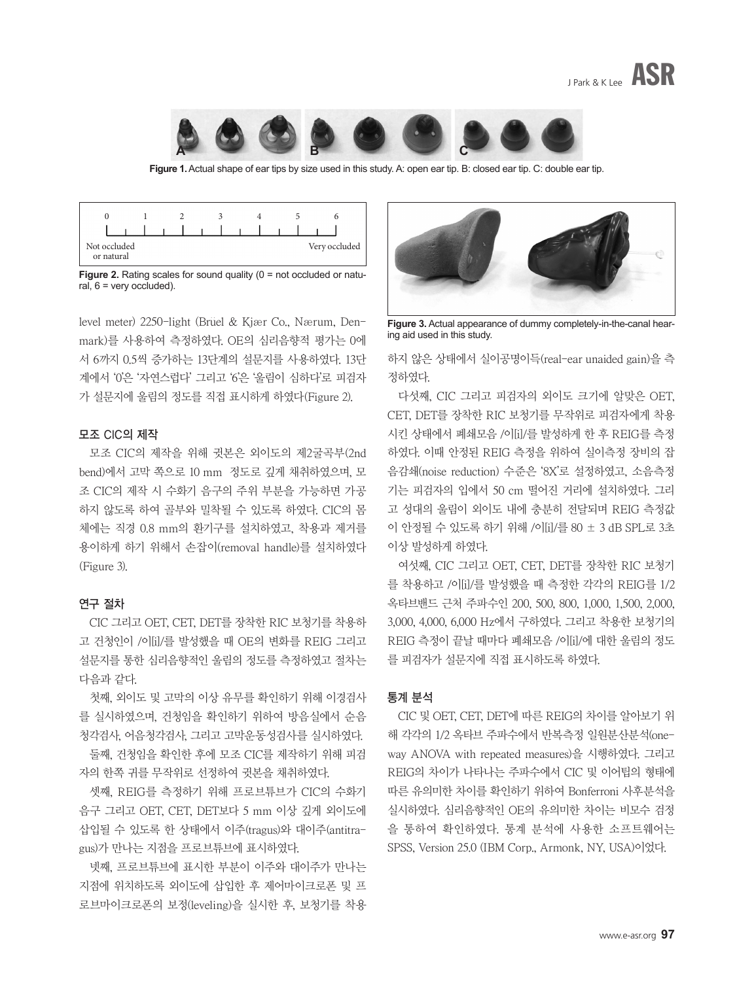

**Figure 1.** Actual shape of ear tips by size used in this study. A: open ear tip. B: closed ear tip. C: double ear tip.

| Not occluded<br>or natural |  |  |  |  |  | Very occluded |  |
|----------------------------|--|--|--|--|--|---------------|--|

**Figure 2.** Rating scales for sound quality (0 = not occluded or natural,  $6$  = very occluded).

level meter) 2250-light (Brüel & Kjær Co., Nærum, Denmark)를 사용하여 측정하였다. OE의 심리음향적 평가는 0에 서 6까지 0.5씩 증가하는 13단계의 설문지를 사용하였다. 13단 계에서 '0'은 '자연스럽다' 그리고 '6'은 '울림이 심하다'로 피검자 가 설문지에 울림의 정도를 직접 표시하게 하였다(Figure 2).

## 모조 CIC의 제작

모조 CIC의 제작을 위해 귓본은 외이도의 제2굴곡부(2nd bend)에서 고막 쪽으로 10 mm 정도로 깊게 채취하였으며, 모 조 CIC의 제작 시 수화기 음구의 주위 부분을 가능하면 가공 하지 않도록 하여 골부와 밀착될 수 있도록 하였다. CIC의 몸 체에는 직경 0.8 mm의 환기구를 설치하였고, 착용과 제거를 용이하게 하기 위해서 손잡이(removal handle)를 설치하였다 (Figure 3).

## 연구 절차

CIC 그리고 OET, CET, DET를 장착한 RIC 보청기를 착용하 고 건청인이 /이[i]/를 발성했을 때 OE의 변화를 REIG 그리고 설문지를 통한 심리음향적인 울림의 정도를 측정하였고 절차는 다음과 같다.

첫째, 외이도 및 고막의 이상 유무를 확인하기 위해 이경검사 를 실시하였으며, 건청임을 확인하기 위하여 방음실에서 순음 청각검사, 어음청각검사, 그리고 고막운동성검사를 실시하였다.

둘째, 건청임을 확인한 후에 모조 CIC를 제작하기 위해 피검 자의 한쪽 귀를 무작위로 선정하여 귓본을 채취하였다.

셋째, REIG를 측정하기 위해 프로브튜브가 CIC의 수화기 음구 그리고 OET, CET, DET보다 5 mm 이상 깊게 외이도에 삽입될 수 있도록 한 상태에서 이주(tragus)와 대이주(antitragus)가 만나는 지점을 프로브튜브에 표시하였다.

넷째, 프로브튜브에 표시한 부분이 이주와 대이주가 만나는 지점에 위치하도록 외이도에 삽입한 후 제어마이크로폰 및 프 로브마이크로폰의 보정(leveling)을 실시한 후, 보청기를 착용



**Figure 3.** Actual appearance of dummy completely-in-the-canal hearing aid used in this study.

하지 않은 상태에서 실이공명이득(real-ear unaided gain)을 측 정하였다.

다섯째, CIC 그리고 피검자의 외이도 크기에 알맞은 OET, CET, DET를 장착한 RIC 보청기를 무작위로 피검자에게 착용 시킨 상태에서 폐쇄모음 /이[i]/를 발성하게 한 후 REIG를 측정 하였다. 이때 안정된 REIG 측정을 위하여 실이측정 장비의 잡 음감쇄(noise reduction) 수준은 '8X'로 설정하였고, 소음측정 기는 피검자의 입에서 50 cm 떨어진 거리에 설치하였다. 그리 고 성대의 울림이 외이도 내에 충분히 전달되며 REIG 측정값 이 안정될 수 있도록 하기 위해 /이[i]/를 80 ± 3 dB SPL로 3초 이상 발성하게 하였다.

여섯째, CIC 그리고 OET, CET, DET를 장착한 RIC 보청기 를 착용하고 /이[i]/를 발성했을 때 측정한 각각의 REIG를 1/2 옥타브밴드 근처 주파수인 200, 500, 800, 1,000, 1,500, 2,000, 3,000, 4,000, 6,000 Hz에서 구하였다. 그리고 착용한 보청기의 REIG 측정이 끝날 때마다 폐쇄모음 /이[i]/에 대한 울림의 정도 를 피검자가 설문지에 직접 표시하도록 하였다.

## 통계 분석

CIC 및 OET, CET, DET에 따른 REIG의 차이를 알아보기 위 해 각각의 1/2 옥타브 주파수에서 반복측정 일원분산분석(oneway ANOVA with repeated measures)을 시행하였다. 그리고 REIG의 차이가 나타나는 주파수에서 CIC 및 이어팁의 형태에 따른 유의미한 차이를 확인하기 위하여 Bonferroni 사후분석을 실시하였다. 심리음향적인 OE의 유의미한 차이는 비모수 검정 을 통하여 확인하였다. 통계 분석에 사용한 소프트웨어는 SPSS, Version 25.0 (IBM Corp., Armonk, NY, USA)이었다.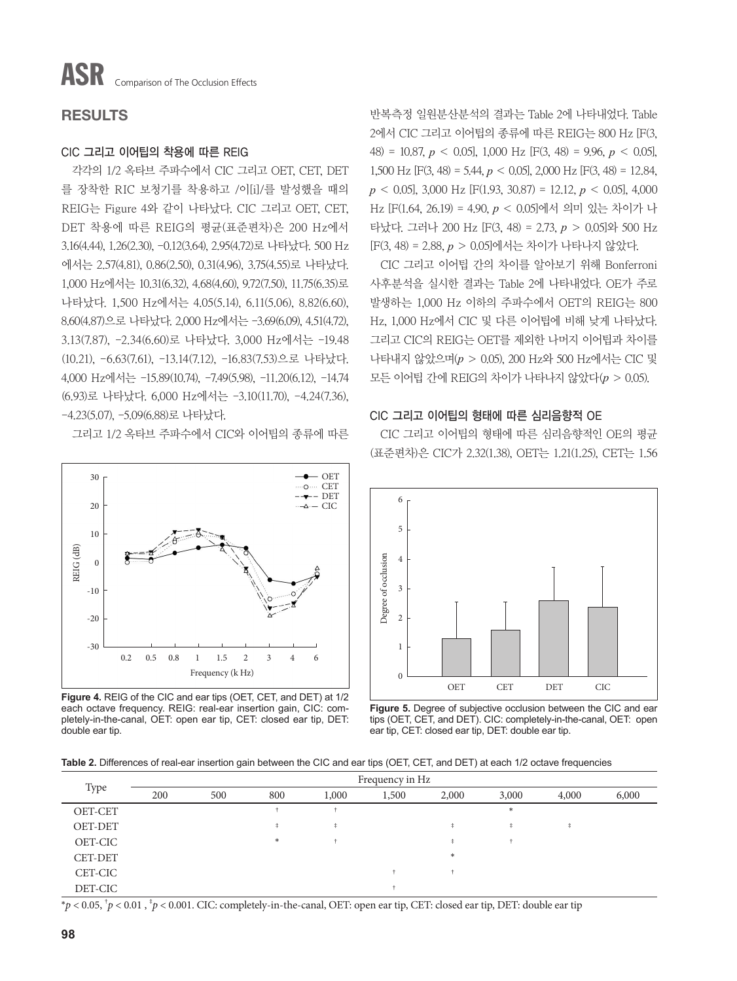# RESULTS

## CIC 그리고 이어팁의 착용에 따른 REIG

각각의 1/2 옥타브 주파수에서 CIC 그리고 OET, CET, DET 를 장착한 RIC 보청기를 착용하고 /이[i]/를 발성했을 때의 REIG는 Figure 4와 같이 나타났다. CIC 그리고 OET, CET, DET 착용에 따른 REIG의 평균(표준편차)은 200 Hz에서 3.16(4.44), 1.26(2.30), -0.12(3.64), 2.95(4.72)로 나타났다. 500 Hz 에서는 2.57(4.81), 0.86(2.50), 0.31(4.96), 3.75(4.55)로 나타났다. 1,000 Hz에서는 10.31(6.32), 4.68(4.60), 9.72(7.50), 11.75(6.35)로 나타났다. 1,500 Hz에서는 4.05(5.14), 6.11(5.06), 8.82(6.60), 8.60(4.87)으로 나타났다. 2,000 Hz에서는 -3.69(6.09), 4.51(4.72), 3.13(7.87), -2.34(6.60)로 나타났다. 3,000 Hz에서는 -19.48 (10.21), -6.63(7.61), -13.14(7.12), -16.83(7.53)으로 나타났다. 4,000 Hz에서는 -15.89(10.74), -7.49(5.98), -11.20(6.12), -14.74 (6.93)로 나타났다. 6,000 Hz에서는 -3.10(11.70), -4.24(7.36), -4.23(5.07), -5.09(6.88)로 나타났다.

그리고 1/2 옥타브 주파수에서 CIC와 이어팁의 종류에 따른



**Figure 4.** REIG of the CIC and ear tips (OET, CET, and DET) at 1/2 each octave frequency. REIG: real-ear insertion gain, CIC: completely-in-the-canal, OET: open ear tip, CET: closed ear tip, DET: double ear tip.

반복측정 일원분산분석의 결과는 Table 2에 나타내었다. Table 2에서 CIC 그리고 이어팁의 종류에 따른 REIG는 800 Hz [F(3, 48) = 10.87, *p* < 0.05], 1,000 Hz [F(3, 48) = 9.96, *p* < 0.05], 1,500 Hz [F(3, 48) = 5.44, *p* < 0.05], 2,000 Hz [F(3, 48) = 12.84, *p* < 0.05], 3,000 Hz [F(1.93, 30.87) = 12.12, *p* < 0.05], 4,000 Hz [F(1.64, 26.19) = 4.90, *p* < 0.05]에서 의미 있는 차이가 나 타났다. 그러나 200 Hz [F(3, 48) = 2.73, *p* > 0.05]와 500 Hz [F(3, 48) = 2.88, *p* > 0.05]에서는 차이가 나타나지 않았다.

CIC 그리고 이어팁 간의 차이를 알아보기 위해 Bonferroni 사후분석을 실시한 결과는 Table 2에 나타내었다. OE가 주로 발생하는 1,000 Hz 이하의 주파수에서 OET의 REIG는 800 Hz, 1,000 Hz에서 CIC 및 다른 이어팁에 비해 낮게 나타났다. 그리고 CIC의 REIG는 OET를 제외한 나머지 이어팁과 차이를 나타내지 않았으며(*p* > 0.05), 200 Hz와 500 Hz에서는 CIC 및 모든 이어팁 간에 REIG의 차이가 나타나지 않았다(*p* > 0.05).

### CIC 그리고 이어팁의 형태에 따른 심리음향적 OE

CIC 그리고 이어팁의 형태에 따른 심리음향적인 OE의 평균 (표준편차)은 CIC가 2.32(1.38), OET는 1.21(1.25), CET는 1.56



**Figure 5.** Degree of subjective occlusion between the CIC and ear tips (OET, CET, and DET). CIC: completely-in-the-canal, OET: open ear tip, CET: closed ear tip, DET: double ear tip.

**Table 2.** Differences of real-ear insertion gain between the CIC and ear tips (OET, CET, and DET) at each 1/2 octave frequencies

|                | Frequency in Hz |     |     |            |       |        |          |          |       |  |
|----------------|-----------------|-----|-----|------------|-------|--------|----------|----------|-------|--|
| Type           | 200             | 500 | 800 | 1,000      | 1,500 | 2,000  | 3,000    | 4,000    | 6,000 |  |
| OET-CET        |                 |     |     |            |       |        | $*$      |          |       |  |
| <b>OET-DET</b> |                 |     |     | $\ddagger$ |       | t      | <b>+</b> | <b>A</b> |       |  |
| OET-CIC        |                 |     | $*$ |            |       | ₫.     |          |          |       |  |
| <b>CET-DET</b> |                 |     |     |            |       | $\ast$ |          |          |       |  |
| CET-CIC        |                 |     |     |            |       |        |          |          |       |  |
| DET-CIC        |                 |     |     |            |       |        |          |          |       |  |

 $*p < 0.05$ ,  $^{\dagger}p < 0.01$ ,  $^{\dagger}p < 0.001$ . CIC: completely-in-the-canal, OET: open ear tip, CET: closed ear tip, DET: double ear tip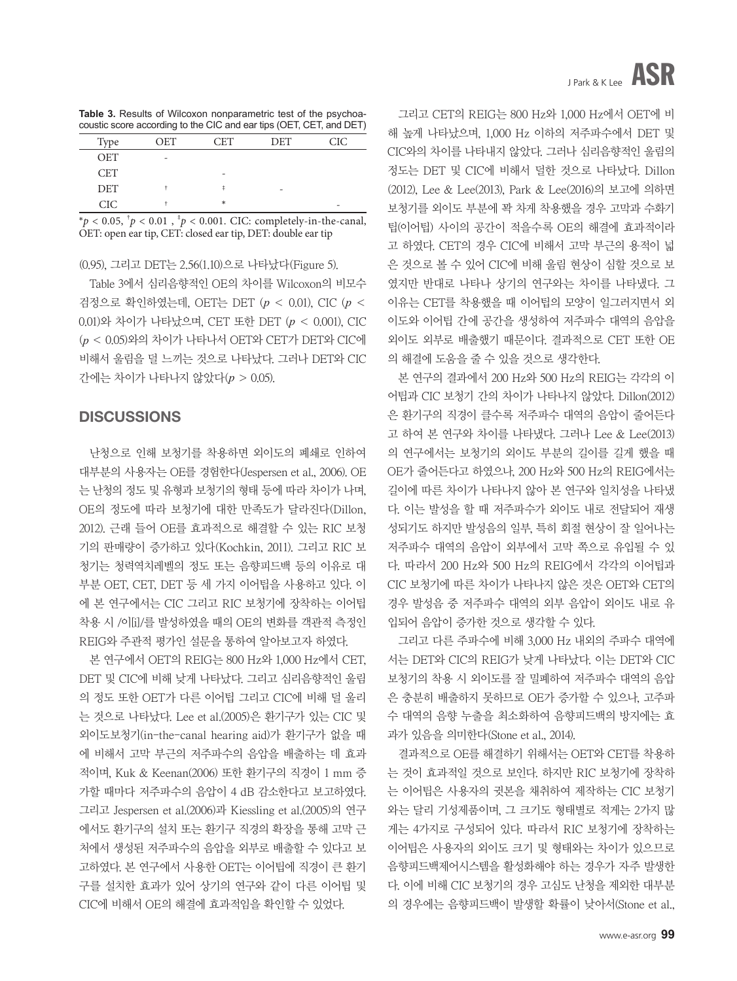**Table 3.** Results of Wilcoxon nonparametric test of the psychoacoustic score according to the CIC and ear tips (OET, CET, and DET)

|            | ~   |     | . .<br>$\sim$<br>. | . . |
|------------|-----|-----|--------------------|-----|
| Type       | OET | CET | <b>DET</b>         | CIC |
| <b>OET</b> | -   |     |                    |     |
| <b>CET</b> |     |     |                    |     |
| <b>DET</b> |     | ŧ   | -                  |     |
| <b>CIC</b> |     | *   |                    | -   |

 $* p < 0.05, \, {}^{\dagger} p < 0.01, \, {}^{\dagger} p < 0.001$ . CIC: completely-in-the-canal, OET: open ear tip, CET: closed ear tip, DET: double ear tip

(0.95), 그리고 DET는 2.56(1.10)으로 나타났다(Figure 5).

Table 3에서 심리음향적인 OE의 차이를 Wilcoxon의 비모수 검정으로 확인하였는데, OET는 DET (*p* < 0.01), CIC (*p* < 0.01)와 차이가 나타났으며, CET 또한 DET (*p* < 0.001), CIC (*p* < 0.05)와의 차이가 나타나서 OET와 CET가 DET와 CIC에 비해서 울림을 덜 느끼는 것으로 나타났다. 그러나 DET와 CIC 간에는 차이가 나타나지 않았다(*p* > 0.05).

# **DISCUSSIONS**

난청으로 인해 보청기를 착용하면 외이도의 폐쇄로 인하여 대부분의 사용자는 OE를 경험한다(Jespersen et al., 2006). OE 는 난청의 정도 및 유형과 보청기의 형태 등에 따라 차이가 나며, OE의 정도에 따라 보청기에 대한 만족도가 달라진다(Dillon, 2012). 근래 들어 OE를 효과적으로 해결할 수 있는 RIC 보청 기의 판매량이 증가하고 있다(Kochkin, 2011). 그리고 RIC 보 청기는 청력역치레벨의 정도 또는 음향피드백 등의 이유로 대 부분 OET, CET, DET 등 세 가지 이어팁을 사용하고 있다. 이 에 본 연구에서는 CIC 그리고 RIC 보청기에 장착하는 이어팁 착용 시 /이[i]/를 발성하였을 때의 OE의 변화를 객관적 측정인 REIG와 주관적 평가인 설문을 통하여 알아보고자 하였다.

본 연구에서 OET의 REIG는 800 Hz와 1,000 Hz에서 CET, DET 및 CIC에 비해 낮게 나타났다. 그리고 심리음향적인 울림 의 정도 또한 OET가 다른 이어팁 그리고 CIC에 비해 덜 울리 는 것으로 나타났다. Lee et al.(2005)은 환기구가 있는 CIC 및 외이도보청기(in-the-canal hearing aid)가 환기구가 없을 때 에 비해서 고막 부근의 저주파수의 음압을 배출하는 데 효과 적이며, Kuk & Keenan(2006) 또한 환기구의 직경이 1 mm 증 가할 때마다 저주파수의 음압이 4 dB 감소한다고 보고하였다. 그리고 Jespersen et al.(2006)과 Kiessling et al.(2005)의 연구 에서도 환기구의 설치 또는 환기구 직경의 확장을 통해 고막 근 처에서 생성된 저주파수의 음압을 외부로 배출할 수 있다고 보 고하였다. 본 연구에서 사용한 OET는 이어팁에 직경이 큰 환기 구를 설치한 효과가 있어 상기의 연구와 같이 다른 이어팁 및 CIC에 비해서 OE의 해결에 효과적임을 확인할 수 있었다.

그리고 CET의 REIG는 800 Hz와 1,000 Hz에서 OET에 비 해 높게 나타났으며, 1,000 Hz 이하의 저주파수에서 DET 및 CIC와의 차이를 나타내지 않았다. 그러나 심리음향적인 울림의 정도는 DET 및 CIC에 비해서 덜한 것으로 나타났다. Dillon (2012), Lee & Lee(2013), Park & Lee(2016)의 보고에 의하면 보청기를 외이도 부분에 꽉 차게 착용했을 경우 고막과 수화기 팁(이어팁) 사이의 공간이 적을수록 OE의 해결에 효과적이라 고 하였다. CET의 경우 CIC에 비해서 고막 부근의 용적이 넓 은 것으로 볼 수 있어 CIC에 비해 울림 현상이 심할 것으로 보 였지만 반대로 나타나 상기의 연구와는 차이를 나타냈다. 그 이유는 CET를 착용했을 때 이어팁의 모양이 일그러지면서 외 이도와 이어팁 간에 공간을 생성하여 저주파수 대역의 음압을 외이도 외부로 배출했기 때문이다. 결과적으로 CET 또한 OE 의 해결에 도움을 줄 수 있을 것으로 생각한다.

본 연구의 결과에서 200 Hz와 500 Hz의 REIG는 각각의 이 어팁과 CIC 보청기 간의 차이가 나타나지 않았다. Dillon(2012) 은 환기구의 직경이 클수록 저주파수 대역의 음압이 줄어든다 고 하여 본 연구와 차이를 나타냈다. 그러나 Lee & Lee(2013) 의 연구에서는 보청기의 외이도 부분의 길이를 길게 했을 때 OE가 줄어든다고 하였으나, 200 Hz와 500 Hz의 REIG에서는 길이에 따른 차이가 나타나지 않아 본 연구와 일치성을 나타냈 다. 이는 발성을 할 때 저주파수가 외이도 내로 전달되어 재생 성되기도 하지만 발성음의 일부, 특히 회절 현상이 잘 일어나는 저주파수 대역의 음압이 외부에서 고막 쪽으로 유입될 수 있 다. 따라서 200 Hz와 500 Hz의 REIG에서 각각의 이어팁과 CIC 보청기에 따른 차이가 나타나지 않은 것은 OET와 CET의 경우 발성음 중 저주파수 대역의 외부 음압이 외이도 내로 유 입되어 음압이 증가한 것으로 생각할 수 있다.

그리고 다른 주파수에 비해 3,000 Hz 내외의 주파수 대역에 서는 DET와 CIC의 REIG가 낮게 나타났다. 이는 DET와 CIC 보청기의 착용 시 외이도를 잘 밀폐하여 저주파수 대역의 음압 은 충분히 배출하지 못하므로 OE가 증가할 수 있으나, 고주파 수 대역의 음향 누출을 최소화하여 음향피드백의 방지에는 효 과가 있음을 의미한다(Stone et al., 2014).

결과적으로 OE를 해결하기 위해서는 OET와 CET를 착용하 는 것이 효과적일 것으로 보인다. 하지만 RIC 보청기에 장착하 는 이어팁은 사용자의 귓본을 채취하여 제작하는 CIC 보청기 와는 달리 기성제품이며, 그 크기도 형태별로 적게는 2가지 많 게는 4가지로 구성되어 있다. 따라서 RIC 보청기에 장착하는 이어팁은 사용자의 외이도 크기 및 형태와는 차이가 있으므로 음향피드백제어시스템을 활성화해야 하는 경우가 자주 발생한 다. 이에 비해 CIC 보청기의 경우 고심도 난청을 제외한 대부분 의 경우에는 음향피드백이 발생할 확률이 낮아서(Stone et al.,